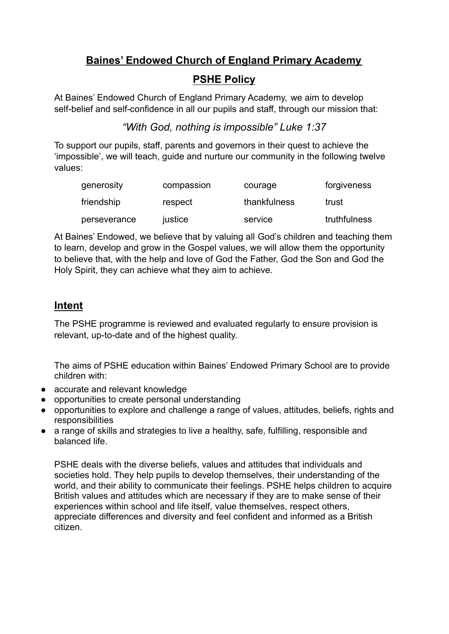# **Baines' Endowed Church of England Primary Academy**

# **PSHE Policy**

At Baines' Endowed Church of England Primary Academy, we aim to develop self-belief and self-confidence in all our pupils and staff, through our mission that:

## *"With God, nothing is impossible" Luke 1:37*

To support our pupils, staff, parents and governors in their quest to achieve the 'impossible', we will teach, guide and nurture our community in the following twelve values:

| generosity   | compassion | courage      | forgiveness  |
|--------------|------------|--------------|--------------|
| friendship   | respect    | thankfulness | trust        |
| perseverance | justice    | service      | truthfulness |

At Baines' Endowed, we believe that by valuing all God's children and teaching them to learn, develop and grow in the Gospel values, we will allow them the opportunity to believe that, with the help and love of God the Father, God the Son and God the Holy Spirit, they can achieve what they aim to achieve.

# **Intent**

The PSHE programme is reviewed and evaluated regularly to ensure provision is relevant, up-to-date and of the highest quality.

The aims of PSHE education within Baines' Endowed Primary School are to provide children with:

- accurate and relevant knowledge
- opportunities to create personal understanding
- opportunities to explore and challenge a range of values, attitudes, beliefs, rights and responsibilities
- a range of skills and strategies to live a healthy, safe, fulfilling, responsible and balanced life.

PSHE deals with the diverse beliefs, values and attitudes that individuals and societies hold. They help pupils to develop themselves, their understanding of the world, and their ability to communicate their feelings. PSHE helps children to acquire British values and attitudes which are necessary if they are to make sense of their experiences within school and life itself, value themselves, respect others, appreciate differences and diversity and feel confident and informed as a British citizen.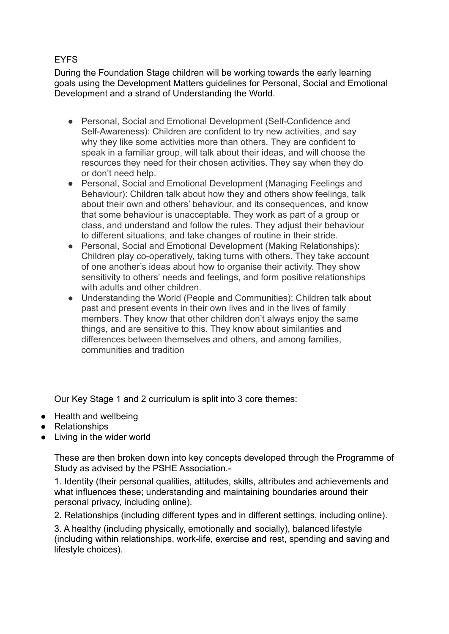### EYFS

During the Foundation Stage children will be working towards the early learning goals using the Development Matters guidelines for Personal, Social and Emotional Development and a strand of Understanding the World.

- Personal, Social and Emotional Development (Self-Confidence and Self-Awareness): Children are confident to try new activities, and say why they like some activities more than others. They are confident to speak in a familiar group, will talk about their ideas, and will choose the resources they need for their chosen activities. They say when they do or don't need help.
- Personal, Social and Emotional Development (Managing Feelings and Behaviour): Children talk about how they and others show feelings, talk about their own and others' behaviour, and its consequences, and know that some behaviour is unacceptable. They work as part of a group or class, and understand and follow the rules. They adjust their behaviour to different situations, and take changes of routine in their stride.
- Personal, Social and Emotional Development (Making Relationships): Children play co-operatively, taking turns with others. They take account of one another's ideas about how to organise their activity. They show sensitivity to others' needs and feelings, and form positive relationships with adults and other children
- Understanding the World (People and Communities): Children talk about past and present events in their own lives and in the lives of family members. They know that other children don't always enjoy the same things, and are sensitive to this. They know about similarities and differences between themselves and others, and among families, communities and tradition

Our Key Stage 1 and 2 curriculum is split into 3 core themes:

- Health and wellbeing
- Relationships
- Living in the wider world

These are then broken down into key concepts developed through the Programme of Study as advised by the PSHE Association.-

1. Identity (their personal qualities, attitudes, skills, attributes and achievements and what influences these; understanding and maintaining boundaries around their personal privacy, including online).

2. Relationships (including different types and in different settings, including online).

3. A healthy (including physically, emotionally and socially), balanced lifestyle (including within relationships, work-life, exercise and rest, spending and saving and lifestyle choices).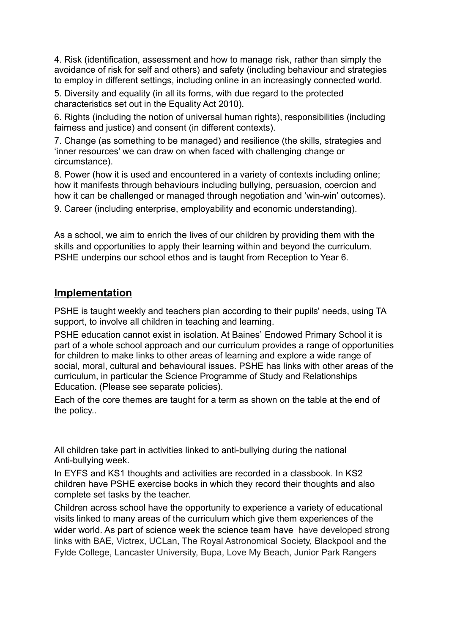4. Risk (identification, assessment and how to manage risk, rather than simply the avoidance of risk for self and others) and safety (including behaviour and strategies to employ in different settings, including online in an increasingly connected world.

5. Diversity and equality (in all its forms, with due regard to the protected characteristics set out in the Equality Act 2010).

6. Rights (including the notion of universal human rights), responsibilities (including fairness and justice) and consent (in different contexts).

7. Change (as something to be managed) and resilience (the skills, strategies and 'inner resources' we can draw on when faced with challenging change or circumstance).

8. Power (how it is used and encountered in a variety of contexts including online; how it manifests through behaviours including bullying, persuasion, coercion and how it can be challenged or managed through negotiation and 'win-win' outcomes).

9. Career (including enterprise, employability and economic understanding).

As a school, we aim to enrich the lives of our children by providing them with the skills and opportunities to apply their learning within and beyond the curriculum. PSHE underpins our school ethos and is taught from Reception to Year 6.

## **Implementation**

PSHE is taught weekly and teachers plan according to their pupils' needs, using TA support, to involve all children in teaching and learning.

PSHE education cannot exist in isolation. At Baines' Endowed Primary School it is part of a whole school approach and our curriculum provides a range of opportunities for children to make links to other areas of learning and explore a wide range of social, moral, cultural and behavioural issues. PSHE has links with other areas of the curriculum, in particular the Science Programme of Study and Relationships Education. (Please see separate policies).

Each of the core themes are taught for a term as shown on the table at the end of the policy..

All children take part in activities linked to anti-bullying during the national Anti-bullying week.

In EYFS and KS1 thoughts and activities are recorded in a classbook. In KS2 children have PSHE exercise books in which they record their thoughts and also complete set tasks by the teacher.

Children across school have the opportunity to experience a variety of educational visits linked to many areas of the curriculum which give them experiences of the wider world. As part of science week the science team have have developed strong links with BAE, Victrex, UCLan, The Royal Astronomical Society, Blackpool and the Fylde College, Lancaster University, Bupa, Love My Beach, Junior Park Rangers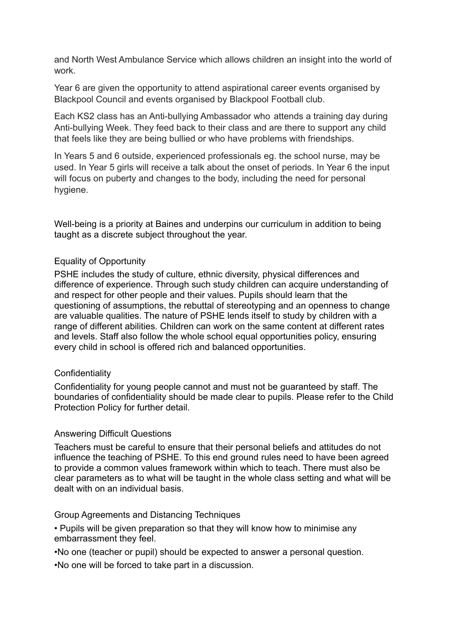and North West Ambulance Service which allows children an insight into the world of work.

Year 6 are given the opportunity to attend aspirational career events organised by Blackpool Council and events organised by Blackpool Football club.

Each KS2 class has an Anti-bullying Ambassador who attends a training day during Anti-bullying Week. They feed back to their class and are there to support any child that feels like they are being bullied or who have problems with friendships.

In Years 5 and 6 outside, experienced professionals eg. the school nurse, may be used. In Year 5 girls will receive a talk about the onset of periods. In Year 6 the input will focus on puberty and changes to the body, including the need for personal hygiene.

Well-being is a priority at Baines and underpins our curriculum in addition to being taught as a discrete subject throughout the year.

#### Equality of Opportunity

PSHE includes the study of culture, ethnic diversity, physical differences and difference of experience. Through such study children can acquire understanding of and respect for other people and their values. Pupils should learn that the questioning of assumptions, the rebuttal of stereotyping and an openness to change are valuable qualities. The nature of PSHE lends itself to study by children with a range of different abilities. Children can work on the same content at different rates and levels. Staff also follow the whole school equal opportunities policy, ensuring every child in school is offered rich and balanced opportunities.

#### **Confidentiality**

Confidentiality for young people cannot and must not be guaranteed by staff. The boundaries of confidentiality should be made clear to pupils. Please refer to the Child Protection Policy for further detail.

#### Answering Difficult Questions

Teachers must be careful to ensure that their personal beliefs and attitudes do not influence the teaching of PSHE. To this end ground rules need to have been agreed to provide a common values framework within which to teach. There must also be clear parameters as to what will be taught in the whole class setting and what will be dealt with on an individual basis.

#### Group Agreements and Distancing Techniques

• Pupils will be given preparation so that they will know how to minimise any embarrassment they feel.

•No one (teacher or pupil) should be expected to answer a personal question. •No one will be forced to take part in a discussion.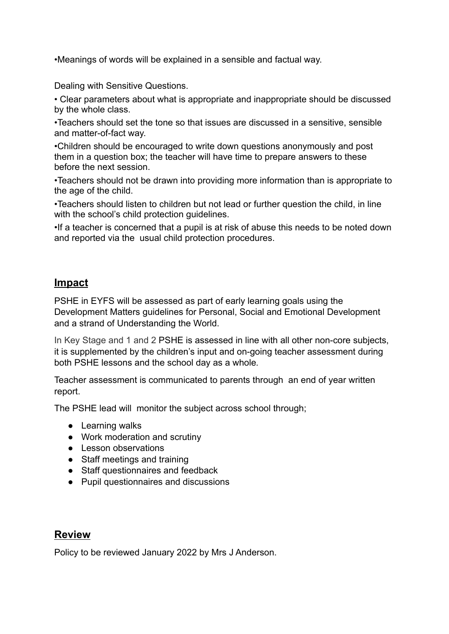•Meanings of words will be explained in a sensible and factual way.

Dealing with Sensitive Questions.

• Clear parameters about what is appropriate and inappropriate should be discussed by the whole class.

•Teachers should set the tone so that issues are discussed in a sensitive, sensible and matter-of-fact way.

•Children should be encouraged to write down questions anonymously and post them in a question box; the teacher will have time to prepare answers to these before the next session.

•Teachers should not be drawn into providing more information than is appropriate to the age of the child.

•Teachers should listen to children but not lead or further question the child, in line with the school's child protection guidelines.

•If a teacher is concerned that a pupil is at risk of abuse this needs to be noted down and reported via the usual child protection procedures.

## **Impact**

PSHE in EYFS will be assessed as part of early learning goals using the Development Matters guidelines for Personal, Social and Emotional Development and a strand of Understanding the World.

In Key Stage and 1 and 2 PSHE is assessed in line with all other non-core subjects, it is supplemented by the children's input and on-going teacher assessment during both PSHE lessons and the school day as a whole*.*

Teacher assessment is communicated to parents through an end of year written report.

The PSHE lead will monitor the subject across school through;

- Learning walks
- Work moderation and scrutiny
- Lesson observations
- Staff meetings and training
- Staff questionnaires and feedback
- Pupil questionnaires and discussions

## **Review**

Policy to be reviewed January 2022 by Mrs J Anderson.